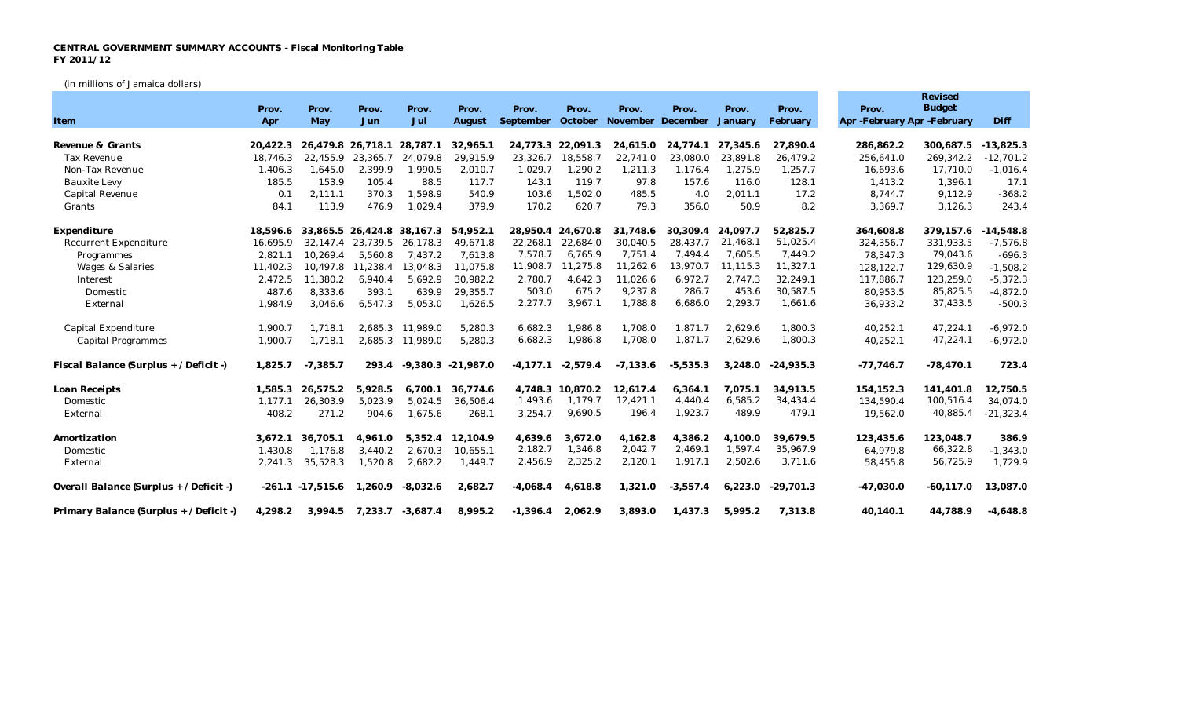## **CENTRAL GOVERNMENT SUMMARY ACCOUNTS - Fiscal Monitoring Table FY 2011/12**

(in millions of Jamaica dollars)

|                                         |          |                     |                   |                  |             |                                             |                   |            |            |          |             |                             | Revised       |             |
|-----------------------------------------|----------|---------------------|-------------------|------------------|-------------|---------------------------------------------|-------------------|------------|------------|----------|-------------|-----------------------------|---------------|-------------|
|                                         | Prov.    | Prov.               | Prov.             | Prov.            | Prov.       | Prov.                                       | Prov.             | Prov.      | Prov.      | Prov.    | Prov.       | Prov.                       | <b>Budget</b> |             |
| Item                                    | Apr      | May                 | Jun               | Jul              | August      | September October November December January |                   |            |            |          | February    | Apr -February Apr -February |               | Diff        |
| Revenue & Grants                        | 20.422.3 |                     | 26.479.8 26.718.1 | 28,787.1         | 32.965.1    |                                             | 24.773.3 22.091.3 | 24.615.0   | 24.774.1   | 27.345.6 | 27.890.4    | 286.862.2                   | 300.687.5     | $-13.825.3$ |
| <b>Tax Revenue</b>                      | 18.746.3 | 22,455.9            | 23,365.7          | 24.079.8         | 29,915.9    | 23,326.7                                    | 18,558.7          | 22,741.0   | 23,080.0   | 23,891.8 | 26,479.2    | 256,641.0                   | 269,342.2     | $-12,701.2$ |
| Non-Tax Revenue                         | 1,406.3  | 1,645.0             | 2,399.9           | 1,990.5          | 2,010.7     | 1,029.7                                     | 1,290.2           | 1,211.3    | 1,176.4    | 1,275.9  | 1,257.7     | 16,693.6                    | 17,710.0      | $-1,016.4$  |
| <b>Bauxite Levy</b>                     | 185.5    | 153.9               | 105.4             | 88.5             | 117.7       | 143.1                                       | 119.7             | 97.8       | 157.6      | 116.0    | 128.1       | 1,413.2                     | 1,396.1       | 17.1        |
| Capital Revenue                         | 0.1      | 2,111.1             | 370.3             | 1,598.9          | 540.9       | 103.6                                       | 1,502.0           | 485.5      | 4.0        | 2,011.1  | 17.2        | 8,744.7                     | 9,112.9       | $-368.2$    |
| Grants                                  | 84.1     | 113.9               | 476.9             | 1,029.4          | 379.9       | 170.2                                       | 620.7             | 79.3       | 356.0      | 50.9     | 8.2         | 3,369.7                     | 3,126.3       | 243.4       |
| Expenditure                             | 18,596.6 |                     | 33,865.5 26,424.8 | 38,167.3         | 54,952.1    |                                             | 28,950.4 24,670.8 | 31,748.6   | 30,309.4   | 24.097.7 | 52,825.7    | 364,608.8                   | 379,157.6     | $-14,548.8$ |
| Recurrent Expenditure                   | 16.695.9 | 32.147.4            | 23,739.5          | 26,178.3         | 49.671.8    | 22.268.1                                    | 22.684.0          | 30.040.5   | 28.437.7   | 21,468.1 | 51,025.4    | 324,356.7                   | 331,933.5     | $-7,576.8$  |
| Programmes                              | 2,821.1  | 10,269.4            | 5.560.8           | 7.437.2          | 7.613.8     | 7,578.7                                     | 6,765.9           | 7,751.4    | 7,494.4    | 7,605.5  | 7,449.2     | 78.347.3                    | 79,043.6      | $-696.3$    |
| Wages & Salaries                        | 11,402.3 | 10,497.8            | 11.238.4          | 13.048.3         | 11.075.8    | 11,908.7                                    | 11.275.8          | 11,262.6   | 13,970.7   | 11,115.3 | 11,327.1    | 128, 122.7                  | 129,630.9     | $-1,508.2$  |
| Interest                                | 2,472.5  | 11,380.2            | 6,940.4           | 5,692.9          | 30,982.2    | 2,780.7                                     | 4,642.3           | 11,026.6   | 6,972.7    | 2,747.3  | 32,249.1    | 117,886.7                   | 123,259.0     | $-5,372.3$  |
| Domestic                                | 487.6    | 8,333.6             | 393.1             | 639.9            | 29,355.7    | 503.0                                       | 675.2             | 9,237.8    | 286.7      | 453.6    | 30,587.5    | 80,953.5                    | 85,825.5      | $-4,872.0$  |
| External                                | 1,984.9  | 3,046.6             | 6,547.3           | 5,053.0          | 1,626.5     | 2,277.7                                     | 3,967.1           | 1,788.8    | 6,686.0    | 2,293.7  | 1,661.6     | 36,933.2                    | 37,433.5      | $-500.3$    |
| Capital Expenditure                     | 1,900.7  | 1,718.1             |                   | 2.685.3 11.989.0 | 5,280.3     | 6,682.3                                     | 1,986.8           | 1,708.0    | 1,871.7    | 2,629.6  | 1,800.3     | 40,252.1                    | 47,224.1      | $-6,972.0$  |
| <b>Capital Programmes</b>               | 1,900.7  | 1,718.1             |                   | 2,685.3 11,989.0 | 5,280.3     | 6,682.3                                     | 1,986.8           | 1,708.0    | 1,871.7    | 2,629.6  | 1,800.3     | 40,252.1                    | 47,224.1      | $-6,972.0$  |
| Fiscal Balance (Surplus + / Deficit -)  | 1,825.7  | $-7,385.7$          | 293.4             | $-9,380.3$       | $-21,987.0$ | $-4.177.1$                                  | $-2,579.4$        | $-7,133.6$ | $-5,535.3$ | 3,248.0  | $-24,935.3$ | $-77,746.7$                 | $-78,470.1$   | 723.4       |
| Loan Receipts                           | 1,585.3  | 26,575.2            | 5,928.5           | 6.700.1          | 36.774.6    |                                             | 4,748.3 10,870.2  | 12,617.4   | 6,364.1    | 7.075.1  | 34,913.5    | 154.152.3                   | 141,401.8     | 12,750.5    |
| Domestic                                | 1.177.1  | 26,303.9            | 5,023.9           | 5,024.5          | 36,506.4    | 1,493.6                                     | 1,179.7           | 12,421.1   | 4,440.4    | 6,585.2  | 34,434.4    | 134,590.4                   | 100,516.4     | 34,074.0    |
| External                                | 408.2    | 271.2               | 904.6             | 1,675.6          | 268.1       | 3,254.7                                     | 9,690.5           | 196.4      | 1,923.7    | 489.9    | 479.1       | 19,562.0                    | 40,885.4      | $-21,323.4$ |
| Amortization                            | 3,672.1  | 36.705.1            | 4.961.0           | 5.352.4          | 12.104.9    | 4.639.6                                     | 3.672.0           | 4.162.8    | 4.386.2    | 4.100.0  | 39.679.5    | 123,435.6                   | 123.048.7     | 386.9       |
| Domestic                                | 1,430.8  | 1.176.8             | 3,440.2           | 2.670.3          | 10.655.1    | 2,182.7                                     | 1,346.8           | 2,042.7    | 2,469.1    | 1,597.4  | 35,967.9    | 64,979.8                    | 66,322.8      | $-1,343.0$  |
| External                                | 2,241.3  | 35,528.3            | 1,520.8           | 2,682.2          | 1,449.7     | 2,456.9                                     | 2,325.2           | 2,120.1    | 1,917.1    | 2,502.6  | 3,711.6     | 58,455.8                    | 56,725.9      | 1,729.9     |
| Overall Balance (Surplus + / Deficit -) |          | $-261.1 - 17.515.6$ | 1,260.9           | $-8,032.6$       | 2,682.7     | $-4,068.4$                                  | 4,618.8           | 1,321.0    | $-3,557.4$ | 6,223.0  | $-29,701.3$ | $-47,030.0$                 | $-60, 117.0$  | 13,087.0    |
| Primary Balance (Surplus + / Deficit -) | 4,298.2  | 3,994.5             | 7,233.7           | $-3,687.4$       | 8,995.2     | $-1,396.4$                                  | 2,062.9           | 3,893.0    | 1,437.3    | 5,995.2  | 7,313.8     | 40,140.1                    | 44,788.9      | $-4,648.8$  |